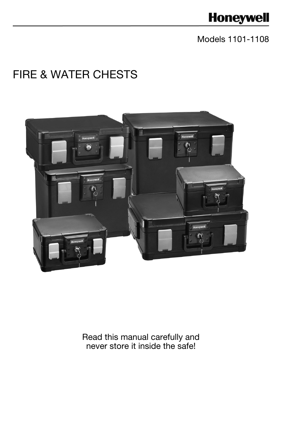# **Honeywell**

# Models 1101-1108

# FIRE & WATER CHESTS



Read this manual carefully and never store it inside the safe!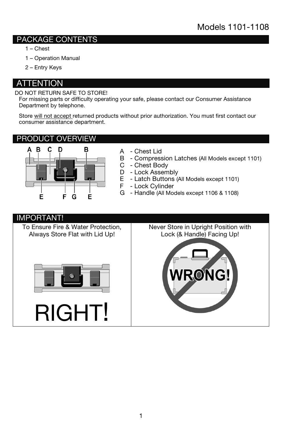### PACKAGE CONTENTS

- 1 Chest
- 1 Operation Manual
- 2 Entry Keys

### **ATTENTION**

#### DO NOT RETURN SAFE TO STORE!

For missing parts or difficulty operating your safe, please contact our Consumer Assistance Department by telephone.

Store will not accept returned products without prior authorization. You must first contact our consumer assistance department.

### PRODUCT OVERVIEW



- A Chest Lid
- B Compression Latches (All Models except 1101)
- C Chest Body
- D Lock Assembly<br>E Latch Buttons (
- E Latch Buttons (All Models except 1101)<br>F Lock Cvlinder
	- Lock Cylinder
- G Handle (All Models except 1106 & 1108)

#### IMPORTANT!

To Ensure Fire & Water Protection, Always Store Flat with Lid Up!



RIGHT!

Never Store in Upright Position with Lock (& Handle) Facing Up!

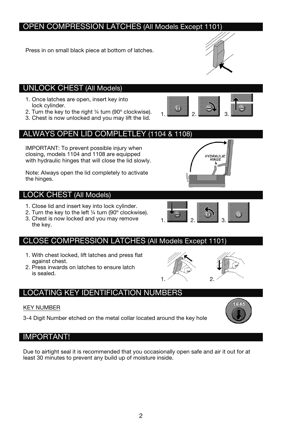## OPEN COMPRESSION LATCHES (All Models Except 1101)

Press in on small black piece at bottom of latches.

### UNLOCK CHEST (All Models)

- 1. Once latches are open, insert key into lock cylinder.
- 2. Turn the key to the right ¼ turn (90º clockwise).
- 3. Chest is now unlocked and you may lift the lid.

### ALWAYS OPEN LID COMPLETLEY (1104 & 1108)

IMPORTANT: To prevent possible injury when closing, models 1104 and 1108 are equipped with hydraulic hinges that will close the lid slowly.

Note: Always open the lid completely to activate the hinges.

### LOCK CHEST (All Models)

- 1. Close lid and insert key into lock cylinder.
- 2. Turn the key to the left  $\frac{1}{4}$  turn (90 $\degree$  clockwise).
- 3. Chest is now locked and you may remove the key.

### CLOSE COMPRESSION LATCHES (All Models Except 1101)

- 1. With chest locked, lift latches and press flat against chest.
- 2. Press inwards on latches to ensure latch is sealed.

# LOCATING KEY IDENTIFICATION NUMBERS

### KEY NUMBER

3-4 Digit Number etched on the metal collar located around the key hole

### IMPORTANT!

Due to airtight seal it is recommended that you occasionally open safe and air it out for at least 30 minutes to prevent any build up of moisture inside.













 $1.$   $2.$   $3.$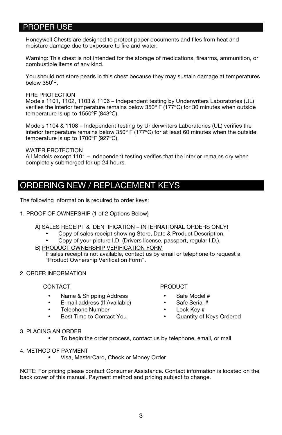### PROPER USE

Honeywell Chests are designed to protect paper documents and files from heat and moisture damage due to exposure to fire and water.

Warning: This chest is not intended for the storage of medications, firearms, ammunition, or combustible items of any kind.

You should not store pearls in this chest because they may sustain damage at temperatures below 350˚F.

FIRE PROTECTION

Models 1101, 1102, 1103 & 1106 – Independent testing by Underwriters Laboratories (UL) verifies the interior temperature remains below 350º F (177ºC) for 30 minutes when outside temperature is up to 1550ºF (843ºC).

Models 1104 & 1108 – Independent testing by Underwriters Laboratories (UL) verifies the interior temperature remains below 350º F (177ºC) for at least 60 minutes when the outside temperature is up to 1700ºF (927ºC).

WATER PROTECTION

All Models except 1101 – Independent testing verifies that the interior remains dry when completely submerged for up 24 hours.

# ORDERING NEW / REPLACEMENT KEYS

The following information is required to order keys:

1. PROOF OF OWNERSHIP (1 of 2 Options Below)

#### A) SALES RECEIPT & IDENTIFICATION – INTERNATIONAL ORDERS ONLY!

- Copy of sales receipt showing Store, Date & Product Description.
- Copy of your picture I.D. (Drivers license, passport, regular I.D.).
- B) PRODUCT OWNERSHIP VERIFICATION FORM

If sales receipt is not available, contact us by email or telephone to request a "Product Ownership Verification Form".

2. ORDER INFORMATION

#### CONTACT

- Name & Shipping Address
- E-mail address (If Available)
- Telephone Number
- Best Time to Contact You

#### PRODUCT

- Safe Model #
- Safe Serial #
- Lock Key #
- Quantity of Keys Ordered

#### 3. PLACING AN ORDER

- To begin the order process, contact us by telephone, email, or mail
- 4. METHOD OF PAYMENT
	- Visa, MasterCard, Check or Money Order

NOTE: For pricing please contact Consumer Assistance. Contact information is located on the back cover of this manual. Payment method and pricing subject to change.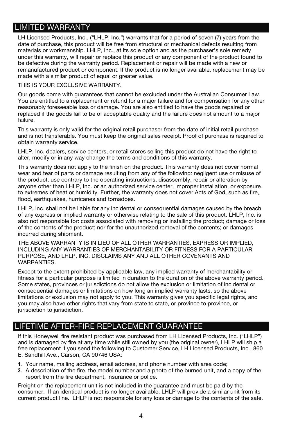# LIMITED WARRANTY

LH Licensed Products, Inc., ("LHLP, Inc.") warrants that for a period of seven (7) years from the date of purchase, this product will be free from structural or mechanical defects resulting from materials or workmanship. LHLP, Inc., at its sole option and as the purchaser's sole remedy under this warranty, will repair or replace this product or any component of the product found to be defective during the warranty period. Replacement or repair will be made with a new or remanufactured product or component. If the product is no longer available, replacement may be made with a similar product of equal or greater value.

THIS IS YOUR EXCLUSIVE WARRANTY.

Our goods come with guarantees that cannot be excluded under the Australian Consumer Law. You are entitled to a replacement or refund for a major failure and for compensation for any other reasonably foreseeable loss or damage. You are also entitled to have the goods repaired or replaced if the goods fail to be of acceptable quality and the failure does not amount to a major failure.

This warranty is only valid for the original retail purchaser from the date of initial retail purchase and is not transferable. You must keep the original sales receipt. Proof of purchase is required to obtain warranty service.

LHLP, Inc. dealers, service centers, or retail stores selling this product do not have the right to alter, modify or in any way change the terms and conditions of this warranty.

This warranty does not apply to the finish on the product. This warranty does not cover normal wear and tear of parts or damage resulting from any of the following: negligent use or misuse of the product, use contrary to the operating instructions, disassembly, repair or alteration by anyone other than LHLP, Inc. or an authorized service center, improper installation, or exposure to extremes of heat or humidity. Further, the warranty does not cover Acts of God, such as fire, flood, earthquakes, hurricanes and tornadoes.

LHLP, Inc. shall not be liable for any incidental or consequential damages caused by the breach of any express or implied warranty or otherwise relating to the sale of this product. LHLP, Inc. is also not responsible for: costs associated with removing or installing the product; damage or loss of the contents of the product; nor for the unauthorized removal of the contents; or damages incurred during shipment.

THE ABOVE WARRANTY IS IN LIEU OF ALL OTHER WARRANTIES, EXPRESS OR IMPLIED, INCLUDING ANY WARRANTIES OF MERCHANTABILITY OR FITNESS FOR A PARTICULAR PURPOSE, AND LHLP, INC. DISCLAIMS ANY AND ALL OTHER COVENANTS AND WARRANTIES.

Except to the extent prohibited by applicable law, any implied warranty of merchantability or fitness for a particular purpose is limited in duration to the duration of the above warranty period. Some states, provinces or jurisdictions do not allow the exclusion or limitation of incidental or consequential damages or limitations on how long an implied warranty lasts, so the above limitations or exclusion may not apply to you. This warranty gives you specific legal rights, and you may also have other rights that vary from state to state, or province to province, or jurisdiction to jurisdiction.

### LIFETIME AFTER-FIRE REPLACEMENT GUARANTEE

If this Honeywell fire resistant product was purchased from LH Licensed Products, Inc. ("LHLP") and is damaged by fire at any time while still owned by you (the original owner), LHLP will ship a free replacement if you send the following to Customer Service, LH Licensed Products, Inc., 860 E. Sandhill Ave., Carson, CA 90746 USA:

- **1.** Your name, mailing address, email address, and phone number with area code;
- **2.** A description of the fire, the model number and a photo of the burned unit, and a copy of the report from the fire department, insurance or police.

Freight on the replacement unit is not included in the guarantee and must be paid by the consumer. If an identical product is no longer available, LHLP will provide a similar unit from its current product line. LHLP is not responsible for any loss or damage to the contents of the safe.